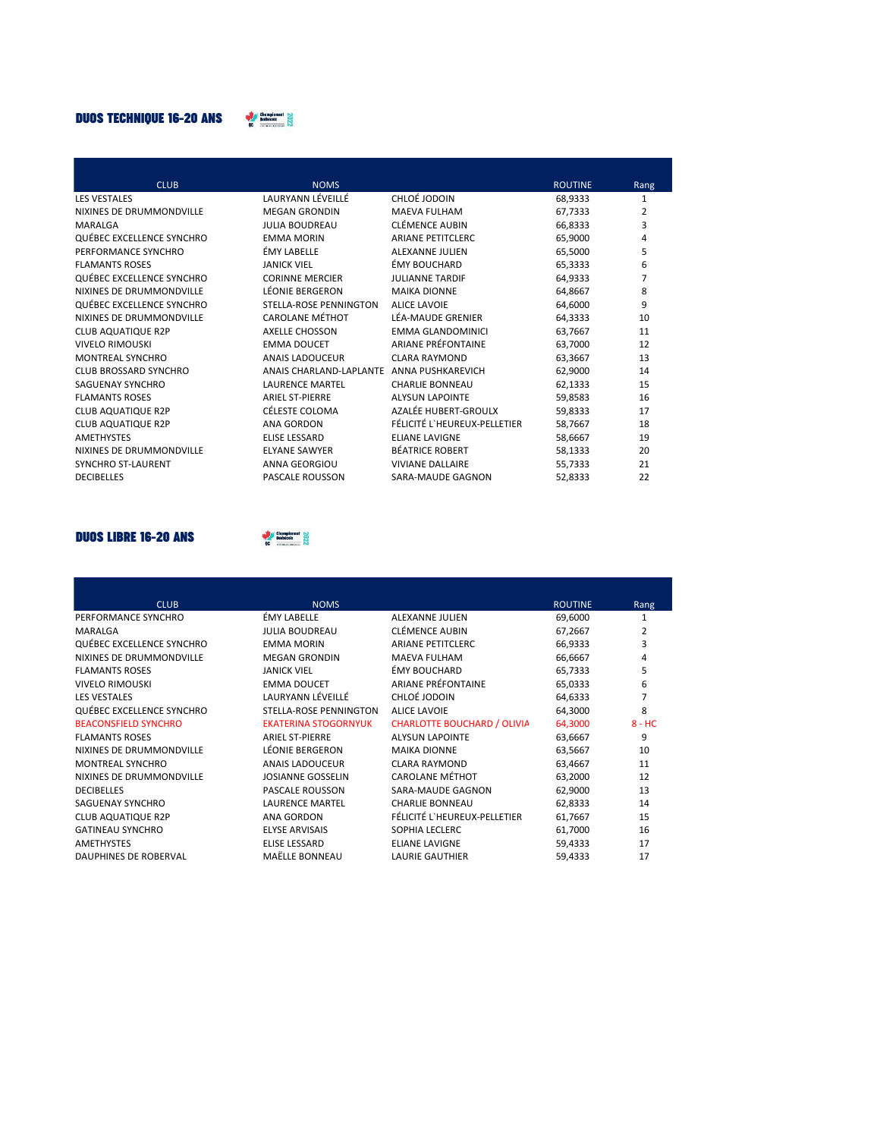## **DUOS TECHNIQUE 16-20 ANS**



| <b>CLUB</b>               | <b>NOMS</b>             |                              | <b>ROUTINE</b> | Rang           |
|---------------------------|-------------------------|------------------------------|----------------|----------------|
| <b>LES VESTALES</b>       | LAURYANN LÉVEILLÉ       | CHLOÉ JODOIN                 | 68,9333        | $\mathbf{1}$   |
| NIXINES DE DRUMMONDVILLE  | <b>MEGAN GRONDIN</b>    | <b>MAEVA FULHAM</b>          | 67,7333        | 2              |
| MARALGA                   | <b>JULIA BOUDREAU</b>   | <b>CLÉMENCE AUBIN</b>        | 66,8333        | 3              |
| QUÉBEC EXCELLENCE SYNCHRO | <b>EMMA MORIN</b>       | <b>ARIANE PETITCLERC</b>     | 65,9000        | 4              |
| PERFORMANCE SYNCHRO       | ÉMY LABELLE             | <b>ALEXANNE JULIEN</b>       | 65,5000        | 5              |
| <b>FLAMANTS ROSES</b>     | <b>JANICK VIEL</b>      | ÉMY BOUCHARD                 | 65,3333        | 6              |
| QUÉBEC EXCELLENCE SYNCHRO | <b>CORINNE MERCIER</b>  | <b>JULIANNE TARDIF</b>       | 64,9333        | $\overline{7}$ |
| NIXINES DE DRUMMONDVILLE  | LÉONIE BERGERON         | <b>MAIKA DIONNE</b>          | 64,8667        | 8              |
| QUÉBEC EXCELLENCE SYNCHRO | STELLA-ROSE PENNINGTON  | <b>ALICE LAVOIE</b>          | 64,6000        | 9              |
| NIXINES DE DRUMMONDVILLE  | <b>CAROLANE MÉTHOT</b>  | LÉA-MAUDE GRENIER            | 64,3333        | 10             |
| <b>CLUB AQUATIQUE R2P</b> | <b>AXELLE CHOSSON</b>   | <b>EMMA GLANDOMINICI</b>     | 63,7667        | 11             |
| <b>VIVELO RIMOUSKI</b>    | <b>EMMA DOUCET</b>      | <b>ARIANE PRÉFONTAINE</b>    | 63,7000        | 12             |
| MONTREAL SYNCHRO          | ANAIS LADOUCEUR         | <b>CLARA RAYMOND</b>         | 63,3667        | 13             |
| CLUB BROSSARD SYNCHRO     | ANAIS CHARLAND-LAPLANTE | ANNA PUSHKAREVICH            | 62,9000        | 14             |
| SAGUENAY SYNCHRO          | <b>LAURENCE MARTEL</b>  | <b>CHARLIE BONNEAU</b>       | 62,1333        | 15             |
| <b>FLAMANTS ROSES</b>     | <b>ARIEL ST-PIERRE</b>  | <b>ALYSUN LAPOINTE</b>       | 59,8583        | 16             |
| <b>CLUB AQUATIQUE R2P</b> | CÉLESTE COLOMA          | AZALÉE HUBERT-GROULX         | 59,8333        | 17             |
| <b>CLUB AQUATIQUE R2P</b> | <b>ANA GORDON</b>       | FÉLICITÉ L'HEUREUX-PELLETIER | 58,7667        | 18             |
| <b>AMETHYSTES</b>         | <b>ELISE LESSARD</b>    | <b>ELIANE LAVIGNE</b>        | 58,6667        | 19             |
| NIXINES DE DRUMMONDVILLE  | <b>ELYANE SAWYER</b>    | <b>BÉATRICE ROBERT</b>       | 58,1333        | 20             |
| <b>SYNCHRO ST-LAURENT</b> | <b>ANNA GEORGIOU</b>    | <b>VIVIANE DALLAIRE</b>      | 55,7333        | 21             |
| <b>DECIBELLES</b>         | <b>PASCALE ROUSSON</b>  | SARA-MAUDE GAGNON            | 52,8333        | 22             |

## **DUOS LIBRE 16-20 ANS**



| <b>CLUB</b>                 | <b>NOMS</b>                   |                                    | <b>ROUTINE</b> | Rang     |
|-----------------------------|-------------------------------|------------------------------------|----------------|----------|
| PERFORMANCE SYNCHRO         | <b>ÉMY LABELLE</b>            | ALEXANNE JULIEN                    | 69,6000        | 1        |
| MARALGA                     | <b>JULIA BOUDREAU</b>         | <b>CLÉMENCE AUBIN</b>              | 67,2667        | 2        |
| QUÉBEC EXCELLENCE SYNCHRO   | <b>EMMA MORIN</b>             | <b>ARIANE PETITCLERC</b>           | 66,9333        | 3        |
| NIXINES DE DRUMMONDVILLE    | <b>MEGAN GRONDIN</b>          | <b>MAEVA FULHAM</b>                | 66,6667        | 4        |
| <b>FLAMANTS ROSES</b>       | <b>JANICK VIEL</b>            | ÉMY BOUCHARD                       | 65.7333        | 5        |
| <b>VIVELO RIMOUSKI</b>      | <b>EMMA DOUCET</b>            | ARIANE PRÉFONTAINE                 | 65,0333        | 6        |
| <b>LES VESTALES</b>         | LAURYANN LÉVEILLÉ             | CHLOÉ JODOIN                       | 64,6333        | 7        |
| QUÉBEC EXCELLENCE SYNCHRO   | <b>STELLA-ROSE PENNINGTON</b> | <b>ALICE LAVOIE</b>                | 64,3000        | 8        |
| <b>BEACONSFIELD SYNCHRO</b> | <b>EKATERINA STOGORNYUK</b>   | <b>CHARLOTTE BOUCHARD / OLIVIA</b> | 64,3000        | $8 - HC$ |
| <b>FLAMANTS ROSES</b>       | <b>ARIEL ST-PIERRE</b>        | <b>ALYSUN LAPOINTE</b>             | 63,6667        | 9        |
| NIXINES DE DRUMMONDVILLE    | <b>LÉONIE BERGERON</b>        | <b>MAIKA DIONNE</b>                | 63,5667        | 10       |
| <b>MONTREAL SYNCHRO</b>     | <b>ANAIS LADOUCEUR</b>        | <b>CLARA RAYMOND</b>               | 63,4667        | 11       |
| NIXINES DE DRUMMONDVILLE    | <b>JOSIANNE GOSSELIN</b>      | <b>CAROLANE MÉTHOT</b>             | 63,2000        | 12       |
| <b>DECIBELLES</b>           | <b>PASCALE ROUSSON</b>        | SARA-MAUDE GAGNON                  | 62,9000        | 13       |
| SAGUENAY SYNCHRO            | <b>LAURENCE MARTEL</b>        | <b>CHARLIE BONNEAU</b>             | 62,8333        | 14       |
| <b>CLUB AQUATIQUE R2P</b>   | <b>ANA GORDON</b>             | FÉLICITÉ L'HEUREUX-PELLETIER       | 61,7667        | 15       |
| <b>GATINEAU SYNCHRO</b>     | <b>ELYSE ARVISAIS</b>         | SOPHIA LECLERC                     | 61,7000        | 16       |
| <b>AMETHYSTES</b>           | <b>ELISE LESSARD</b>          | <b>ELIANE LAVIGNE</b>              | 59,4333        | 17       |
| DAUPHINES DE ROBERVAL       | MAËLLE BONNEAU                | <b>LAURIE GAUTHIER</b>             | 59,4333        | 17       |